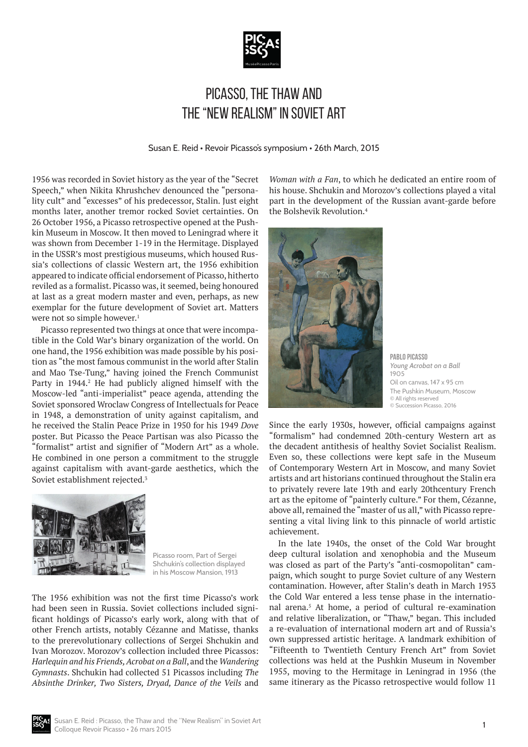

## Picasso, the Thaw and the "New Realism" in Soviet Art

Susan E. Reid • Revoir Picasso's symposium • 26th March, 2015

1956 was recorded in Soviet history as the year of the "Secret Speech," when Nikita Khrushchev denounced the "personality cult" and "excesses" of his predecessor, Stalin. Just eight months later, another tremor rocked Soviet certainties. On 26 October 1956, a Picasso retrospective opened at the Pushkin Museum in Moscow. It then moved to Leningrad where it was shown from December 1-19 in the Hermitage. Displayed in the USSR's most prestigious museums, which housed Russia's collections of classic Western art, the 1956 exhibition appeared to indicate official endorsement of Picasso, hitherto reviled as a formalist. Picasso was, it seemed, being honoured at last as a great modern master and even, perhaps, as new exemplar for the future development of Soviet art. Matters were not so simple however. $1$ 

Picasso represented two things at once that were incompatible in the Cold War's binary organization of the world. On one hand, the 1956 exhibition was made possible by his position as "the most famous communist in the world after Stalin and Mao Tse-Tung," having joined the French Communist Party in 1944.<sup>2</sup> He had publicly aligned himself with the Moscow-led "anti-imperialist" peace agenda, attending the Soviet sponsored Wroclaw Congress of Intellectuals for Peace in 1948, a demonstration of unity against capitalism, and he received the Stalin Peace Prize in 1950 for his 1949 *Dove* poster. But Picasso the Peace Partisan was also Picasso the "formalist" artist and signifier of "Modern Art" as a whole. He combined in one person a commitment to the struggle against capitalism with avant-garde aesthetics, which the Soviet establishment rejected.<sup>3</sup>



Picasso room, Part of Sergei Shchukin's collection displayed in his Moscow Mansion, 1913

The 1956 exhibition was not the first time Picasso's work had been seen in Russia. Soviet collections included significant holdings of Picasso's early work, along with that of other French artists, notably Cézanne and Matisse, thanks to the prerevolutionary collections of Sergei Shchukin and Ivan Morozov. Morozov's collection included three Picassos: *Harlequin and his Friends, Acrobat on a Ball*, and the *Wandering Gymnasts*. Shchukin had collected 51 Picassos including *The Absinthe Drinker, Two Sisters, Dryad, Dance of the Veils* and

*Woman with a Fan*, to which he dedicated an entire room of his house. Shchukin and Morozov's collections played a vital part in the development of the Russian avant-garde before the Bolshevik Revolution.4



**Pablo Picasso** *Young Acrobat on a Ball* 1905 Oil on canvas, 147 x 95 cm The Pushkin Museum, Moscow © All rights reserved © Succession Picasso, 2016

Since the early 1930s, however, official campaigns against "formalism" had condemned 20th-century Western art as the decadent antithesis of healthy Soviet Socialist Realism. Even so, these collections were kept safe in the Museum of Contemporary Western Art in Moscow, and many Soviet artists and art historians continued throughout the Stalin era to privately revere late 19th and early 20thcentury French art as the epitome of "painterly culture." For them, Cézanne, above all, remained the "master of us all," with Picasso representing a vital living link to this pinnacle of world artistic achievement.

In the late 1940s, the onset of the Cold War brought deep cultural isolation and xenophobia and the Museum was closed as part of the Party's "anti-cosmopolitan" campaign, which sought to purge Soviet culture of any Western contamination. However, after Stalin's death in March 1953 the Cold War entered a less tense phase in the international arena.5 At home, a period of cultural re-examination and relative liberalization, or "Thaw," began. This included a re-evaluation of international modern art and of Russia's own suppressed artistic heritage. A landmark exhibition of "Fifteenth to Twentieth Century French Art" from Soviet collections was held at the Pushkin Museum in November 1955, moving to the Hermitage in Leningrad in 1956 (the same itinerary as the Picasso retrospective would follow 11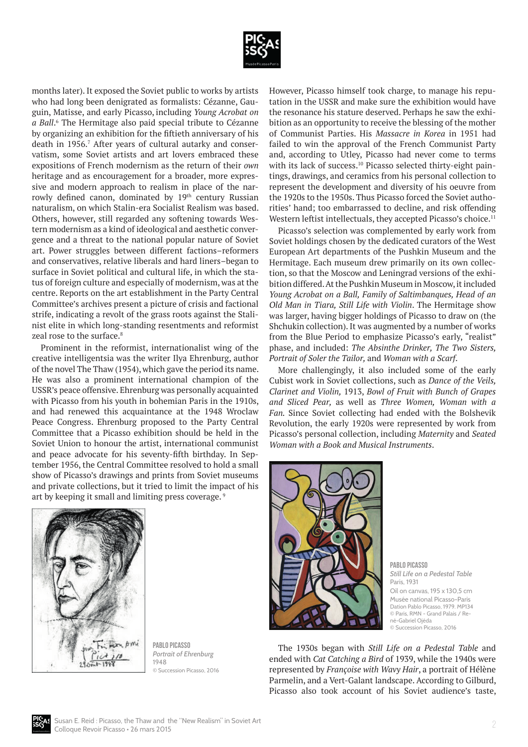

months later). It exposed the Soviet public to works by artists who had long been denigrated as formalists: Cézanne, Gauguin, Matisse, and early Picasso, including *Young Acrobat on*  a Ball.<sup>6</sup> The Hermitage also paid special tribute to Cézanne by organizing an exhibition for the fiftieth anniversary of his death in 1956.<sup>7</sup> After years of cultural autarky and conservatism, some Soviet artists and art lovers embraced these expositions of French modernism as the return of their *own* heritage and as encouragement for a broader, more expressive and modern approach to realism in place of the narrowly defined canon, dominated by 19<sup>th</sup> century Russian naturalism, on which Stalin-era Socialist Realism was based. Others, however, still regarded any softening towards Western modernism as a kind of ideological and aesthetic convergence and a threat to the national popular nature of Soviet art. Power struggles between different factions–reformers and conservatives, relative liberals and hard liners–began to surface in Soviet political and cultural life, in which the status of foreign culture and especially of modernism, was at the centre. Reports on the art establishment in the Party Central Committee's archives present a picture of crisis and factional strife, indicating a revolt of the grass roots against the Stalinist elite in which long-standing resentments and reformist zeal rose to the surface.<sup>8</sup>

Prominent in the reformist, internationalist wing of the creative intelligentsia was the writer Ilya Ehrenburg, author of the novel The Thaw (1954), which gave the period its name. He was also a prominent international champion of the USSR's peace offensive. Ehrenburg was personally acquainted with Picasso from his youth in bohemian Paris in the 1910s, and had renewed this acquaintance at the 1948 Wroclaw Peace Congress. Ehrenburg proposed to the Party Central Committee that a Picasso exhibition should be held in the Soviet Union to honour the artist, international communist and peace advocate for his seventy-fifth birthday. In September 1956, the Central Committee resolved to hold a small show of Picasso's drawings and prints from Soviet museums and private collections, but it tried to limit the impact of his art by keeping it small and limiting press coverage. 9



**Pablo Picasso** *Portrait of Ehrenburg* 1948 © Succession Picasso, 2016

However, Picasso himself took charge, to manage his reputation in the USSR and make sure the exhibition would have the resonance his stature deserved. Perhaps he saw the exhibition as an opportunity to receive the blessing of the mother of Communist Parties. His *Massacre in Korea* in 1951 had failed to win the approval of the French Communist Party and, according to Utley, Picasso had never come to terms with its lack of success.<sup>10</sup> Picasso selected thirty-eight paintings, drawings, and ceramics from his personal collection to represent the development and diversity of his oeuvre from the 1920s to the 1950s. Thus Picasso forced the Soviet authorities' hand; too embarrassed to decline, and risk offending Western leftist intellectuals, they accepted Picasso's choice.<sup>11</sup>

Picasso's selection was complemented by early work from Soviet holdings chosen by the dedicated curators of the West European Art departments of the Pushkin Museum and the Hermitage. Each museum drew primarily on its own collection, so that the Moscow and Leningrad versions of the exhibition differed. At the Pushkin Museum in Moscow, it included *Young Acrobat on a Ball, Family of Saltimbanques, Head of an Old Man in Tiara, Still Life with Violin*. The Hermitage show was larger, having bigger holdings of Picasso to draw on (the Shchukin collection). It was augmented by a number of works from the Blue Period to emphasize Picasso's early, "realist" phase, and included: *The Absinthe Drinker, The Two Sisters, Portrait of Soler the Tailor,* and *Woman with a Scarf*.

More challengingly, it also included some of the early Cubist work in Soviet collections, such as *Dance of the Veils, Clarinet and Violin,* 1913, *Bowl of Fruit with Bunch of Grapes and Sliced Pear,* as well as *Three Women, Woman with a Fan.* Since Soviet collecting had ended with the Bolshevik Revolution, the early 1920s were represented by work from Picasso's personal collection, including *Maternity* and *Seated Woman with a Book and Musical Instruments*.



**Pablo Picasso** *Still Life on a Pedestal Table* Paris, 1931 Oil on canvas, 195 x 130,5 cm Musée national Picasso-Paris Dation Pablo Picasso, 1979. MP134 © Paris, RMN - Grand Palais / René-Gabriel Ojéda © Succession Picasso, 2016

The 1930s began with *Still Life on a Pedestal Table* and ended with *Cat Catching a Bird* of 1939, while the 1940s were represented by *Françoise with Wavy Hair*, a portrait of Hélène Parmelin, and a Vert-Galant landscape. According to Gilburd, Picasso also took account of his Soviet audience's taste,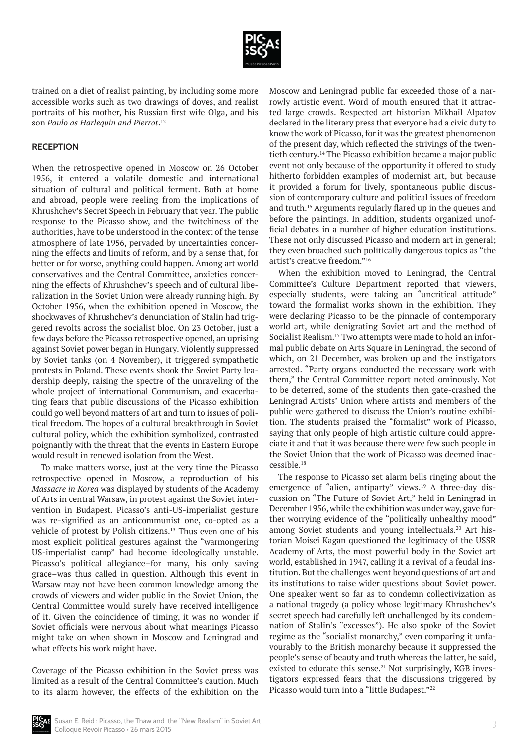

trained on a diet of realist painting, by including some more accessible works such as two drawings of doves, and realist portraits of his mother, his Russian first wife Olga, and his son *Paulo as Harlequin and Pierrot*. 12

## **RECEPTION**

When the retrospective opened in Moscow on 26 October 1956, it entered a volatile domestic and international situation of cultural and political ferment. Both at home and abroad, people were reeling from the implications of Khrushchev's Secret Speech in February that year. The public response to the Picasso show, and the twitchiness of the authorities, have to be understood in the context of the tense atmosphere of late 1956, pervaded by uncertainties concerning the effects and limits of reform, and by a sense that, for better or for worse, anything could happen. Among art world conservatives and the Central Committee, anxieties concerning the effects of Khrushchev's speech and of cultural liberalization in the Soviet Union were already running high. By October 1956, when the exhibition opened in Moscow, the shockwaves of Khrushchev's denunciation of Stalin had triggered revolts across the socialist bloc. On 23 October, just a few days before the Picasso retrospective opened, an uprising against Soviet power began in Hungary. Violently suppressed by Soviet tanks (on 4 November), it triggered sympathetic protests in Poland. These events shook the Soviet Party leadership deeply, raising the spectre of the unraveling of the whole project of international Communism, and exacerbating fears that public discussions of the Picasso exhibition could go well beyond matters of art and turn to issues of political freedom. The hopes of a cultural breakthrough in Soviet cultural policy, which the exhibition symbolized, contrasted poignantly with the threat that the events in Eastern Europe would result in renewed isolation from the West.

To make matters worse, just at the very time the Picasso retrospective opened in Moscow, a reproduction of his *Massacre in Korea* was displayed by students of the Academy of Arts in central Warsaw, in protest against the Soviet intervention in Budapest. Picasso's anti-US-imperialist gesture was re-signified as an anticommunist one, co-opted as a vehicle of protest by Polish citizens.<sup>13</sup> Thus even one of his most explicit political gestures against the "warmongering US-imperialist camp" had become ideologically unstable. Picasso's political allegiance–for many, his only saving grace–was thus called in question. Although this event in Warsaw may not have been common knowledge among the crowds of viewers and wider public in the Soviet Union, the Central Committee would surely have received intelligence of it. Given the coincidence of timing, it was no wonder if Soviet officials were nervous about what meanings Picasso might take on when shown in Moscow and Leningrad and what effects his work might have.

Coverage of the Picasso exhibition in the Soviet press was limited as a result of the Central Committee's caution. Much to its alarm however, the effects of the exhibition on the

Moscow and Leningrad public far exceeded those of a narrowly artistic event. Word of mouth ensured that it attracted large crowds. Respected art historian Mikhail Alpatov declared in the literary press that everyone had a civic duty to know the work of Picasso, for it was the greatest phenomenon of the present day, which reflected the strivings of the twentieth century.14 The Picasso exhibition became a major public event not only because of the opportunity it offered to study hitherto forbidden examples of modernist art, but because it provided a forum for lively, spontaneous public discussion of contemporary culture and political issues of freedom and truth.15 Arguments regularly flared up in the queues and before the paintings. In addition, students organized unofficial debates in a number of higher education institutions. These not only discussed Picasso and modern art in general; they even broached such politically dangerous topics as "the artist's creative freedom."16

When the exhibition moved to Leningrad, the Central Committee's Culture Department reported that viewers, especially students, were taking an "uncritical attitude" toward the formalist works shown in the exhibition. They were declaring Picasso to be the pinnacle of contemporary world art, while denigrating Soviet art and the method of Socialist Realism.17 Two attempts were made to hold an informal public debate on Arts Square in Leningrad, the second of which, on 21 December, was broken up and the instigators arrested. "Party organs conducted the necessary work with them," the Central Committee report noted ominously. Not to be deterred, some of the students then gate-crashed the Leningrad Artists' Union where artists and members of the public were gathered to discuss the Union's routine exhibition. The students praised the "formalist" work of Picasso, saying that only people of high artistic culture could appreciate it and that it was because there were few such people in the Soviet Union that the work of Picasso was deemed inaccessible.18

The response to Picasso set alarm bells ringing about the emergence of "alien, antiparty" views.<sup>19</sup> A three-day discussion on "The Future of Soviet Art," held in Leningrad in December 1956, while the exhibition was under way, gave further worrying evidence of the "politically unhealthy mood" among Soviet students and young intellectuals.<sup>20</sup> Art historian Moisei Kagan questioned the legitimacy of the USSR Academy of Arts, the most powerful body in the Soviet art world, established in 1947, calling it a revival of a feudal institution. But the challenges went beyond questions of art and its institutions to raise wider questions about Soviet power. One speaker went so far as to condemn collectivization as a national tragedy (a policy whose legitimacy Khrushchev's secret speech had carefully left unchallenged by its condemnation of Stalin's "excesses"). He also spoke of the Soviet regime as the "socialist monarchy," even comparing it unfavourably to the British monarchy because it suppressed the people's sense of beauty and truth whereas the latter, he said, existed to educate this sense.<sup>21</sup> Not surprisingly, KGB investigators expressed fears that the discussions triggered by Picasso would turn into a "little Budapest."<sup>22</sup>